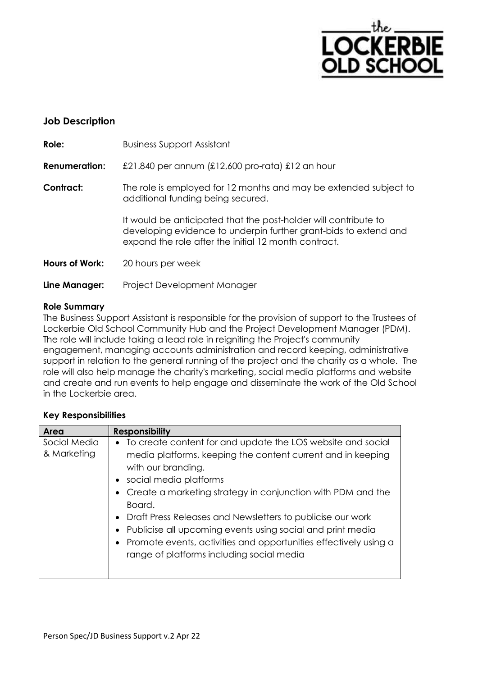

# **Job Description**

| Role:                 | <b>Business Support Assistant</b>                                                                                                                                                           |  |
|-----------------------|---------------------------------------------------------------------------------------------------------------------------------------------------------------------------------------------|--|
| <b>Renumeration:</b>  | £21.840 per annum (£12,600 pro-rata) £12 an hour                                                                                                                                            |  |
| Contract:             | The role is employed for 12 months and may be extended subject to<br>additional funding being secured.                                                                                      |  |
|                       | It would be anticipated that the post-holder will contribute to<br>developing evidence to underpin further grant-bids to extend and<br>expand the role after the initial 12 month contract. |  |
| <b>Hours of Work:</b> | 20 hours per week                                                                                                                                                                           |  |
| Line Manager:         | Project Development Manager                                                                                                                                                                 |  |

#### **Role Summary**

The Business Support Assistant is responsible for the provision of support to the Trustees of Lockerbie Old School Community Hub and the Project Development Manager (PDM). The role will include taking a lead role in reigniting the Project's community engagement, managing accounts administration and record keeping, administrative support in relation to the general running of the project and the charity as a whole. The role will also help manage the charity's marketing, social media platforms and website and create and run events to help engage and disseminate the work of the Old School in the Lockerbie area.

### **Key Responsibilities**

| Area                        | <b>Responsibility</b>                                                                                                                                                                                                                                                                                                                                                                                                                                                                            |  |  |
|-----------------------------|--------------------------------------------------------------------------------------------------------------------------------------------------------------------------------------------------------------------------------------------------------------------------------------------------------------------------------------------------------------------------------------------------------------------------------------------------------------------------------------------------|--|--|
| Social Media<br>& Marketing | To create content for and update the LOS website and social<br>media platforms, keeping the content current and in keeping<br>with our branding.<br>social media platforms<br>Create a marketing strategy in conjunction with PDM and the<br>Board.<br>Draft Press Releases and Newsletters to publicise our work<br>Publicise all upcoming events using social and print media<br>Promote events, activities and opportunities effectively using a<br>range of platforms including social media |  |  |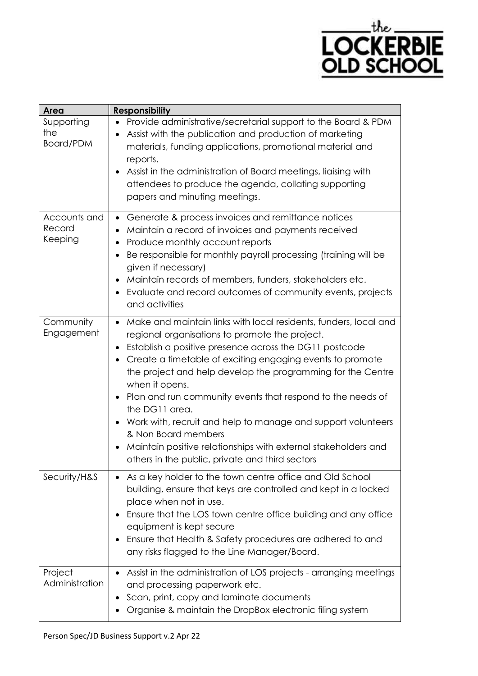

| <b>Area</b>                       | <b>Responsibility</b>                                                                                                                                                                                                                                                                                                                                                                                                                                                                                                                                                                                                                            |  |  |
|-----------------------------------|--------------------------------------------------------------------------------------------------------------------------------------------------------------------------------------------------------------------------------------------------------------------------------------------------------------------------------------------------------------------------------------------------------------------------------------------------------------------------------------------------------------------------------------------------------------------------------------------------------------------------------------------------|--|--|
| Supporting<br>the<br>Board/PDM    | Provide administrative/secretarial support to the Board & PDM<br>Assist with the publication and production of marketing<br>materials, funding applications, promotional material and<br>reports.<br>Assist in the administration of Board meetings, liaising with<br>attendees to produce the agenda, collating supporting<br>papers and minuting meetings.                                                                                                                                                                                                                                                                                     |  |  |
| Accounts and<br>Record<br>Keeping | Generate & process invoices and remittance notices<br>$\bullet$<br>Maintain a record of invoices and payments received<br>Produce monthly account reports<br>٠<br>Be responsible for monthly payroll processing (training will be<br>$\bullet$<br>given if necessary)<br>Maintain records of members, funders, stakeholders etc.<br>٠<br>Evaluate and record outcomes of community events, projects<br>and activities                                                                                                                                                                                                                            |  |  |
| Community<br>Engagement           | Make and maintain links with local residents, funders, local and<br>$\bullet$<br>regional organisations to promote the project.<br>Establish a positive presence across the DG11 postcode<br>$\bullet$<br>Create a timetable of exciting engaging events to promote<br>the project and help develop the programming for the Centre<br>when it opens.<br>Plan and run community events that respond to the needs of<br>the DG11 area.<br>Work with, recruit and help to manage and support volunteers<br>& Non Board members<br>Maintain positive relationships with external stakeholders and<br>others in the public, private and third sectors |  |  |
| Security/H&S                      | As a key holder to the town centre office and Old School<br>building, ensure that keys are controlled and kept in a locked<br>place when not in use.<br>Ensure that the LOS town centre office building and any office<br>equipment is kept secure<br>Ensure that Health & Safety procedures are adhered to and<br>any risks flagged to the Line Manager/Board.                                                                                                                                                                                                                                                                                  |  |  |
| Project<br>Administration         | Assist in the administration of LOS projects - arranging meetings<br>and processing paperwork etc.<br>Scan, print, copy and laminate documents<br>Organise & maintain the DropBox electronic filing system                                                                                                                                                                                                                                                                                                                                                                                                                                       |  |  |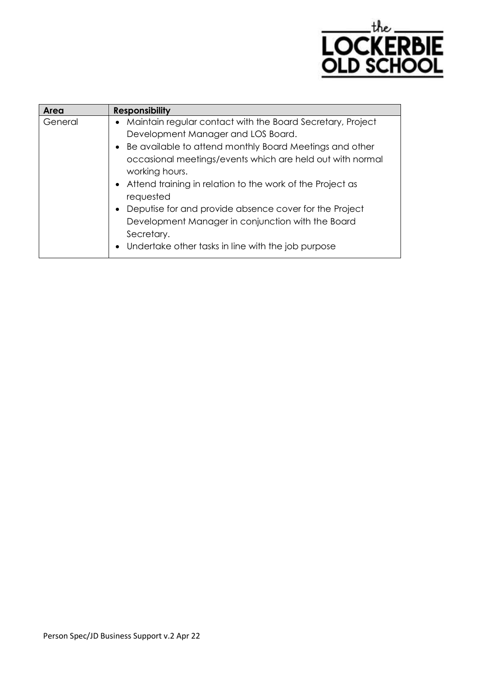

| Area    | <b>Responsibility</b>                                        |
|---------|--------------------------------------------------------------|
| General | • Maintain regular contact with the Board Secretary, Project |
|         | Development Manager and LOS Board.                           |
|         | • Be available to attend monthly Board Meetings and other    |
|         | occasional meetings/events which are held out with normal    |
|         | working hours.                                               |
|         | • Attend training in relation to the work of the Project as  |
|         | requested                                                    |
|         | • Deputise for and provide absence cover for the Project     |
|         | Development Manager in conjunction with the Board            |
|         | Secretary.                                                   |
|         | • Undertake other tasks in line with the job purpose         |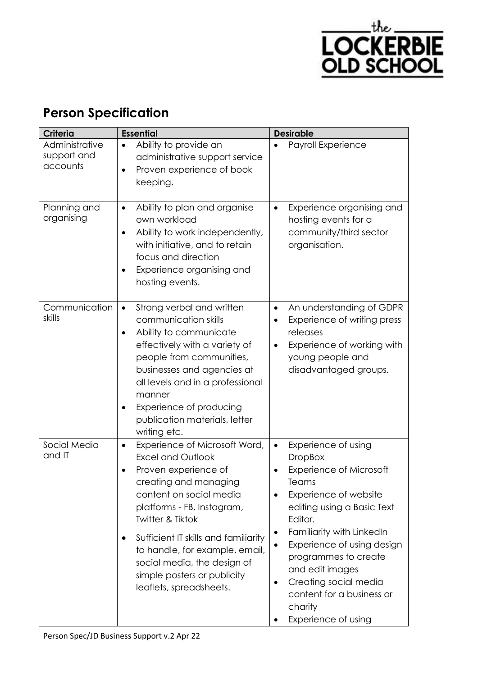

# **Person Specification**

| <b>Criteria</b>                           | <b>Essential</b>                                                                                                                                                                                                                                                                                                                                                           | <b>Desirable</b>                                                                                                                                                                                                                                                                                                                                                        |
|-------------------------------------------|----------------------------------------------------------------------------------------------------------------------------------------------------------------------------------------------------------------------------------------------------------------------------------------------------------------------------------------------------------------------------|-------------------------------------------------------------------------------------------------------------------------------------------------------------------------------------------------------------------------------------------------------------------------------------------------------------------------------------------------------------------------|
| Administrative<br>support and<br>accounts | Ability to provide an<br>administrative support service<br>Proven experience of book<br>keeping.                                                                                                                                                                                                                                                                           | Payroll Experience                                                                                                                                                                                                                                                                                                                                                      |
| Planning and<br>organising                | Ability to plan and organise<br>own workload<br>Ability to work independently,<br>with initiative, and to retain<br>focus and direction<br>Experience organising and<br>hosting events.                                                                                                                                                                                    | Experience organising and<br>hosting events for a<br>community/third sector<br>organisation.                                                                                                                                                                                                                                                                            |
| Communication<br>skills                   | Strong verbal and written<br>$\bullet$<br>communication skills<br>Ability to communicate<br>effectively with a variety of<br>people from communities,<br>businesses and agencies at<br>all levels and in a professional<br>manner<br>Experience of producing<br>publication materials, letter<br>writing etc.                                                              | An understanding of GDPR<br>$\bullet$<br>Experience of writing press<br>$\bullet$<br>releases<br>Experience of working with<br>$\bullet$<br>young people and<br>disadvantaged groups.                                                                                                                                                                                   |
| Social Media<br>and IT                    | Experience of Microsoft Word,<br>٠<br><b>Excel and Outlook</b><br>Proven experience of<br>creating and managing<br>content on social media<br>platforms - FB, Instagram,<br><b>Twitter &amp; Tiktok</b><br>Sufficient IT skills and familiarity<br>to handle, for example, email,<br>social media, the design of<br>simple posters or publicity<br>leaflets, spreadsheets. | Experience of using<br>$\bullet$<br><b>DropBox</b><br><b>Experience of Microsoft</b><br>Teams<br>Experience of website<br>editing using a Basic Text<br>Editor.<br>Familiarity with LinkedIn<br>٠<br>Experience of using design<br>programmes to create<br>and edit images<br>Creating social media<br>٠<br>content for a business or<br>charity<br>Experience of using |